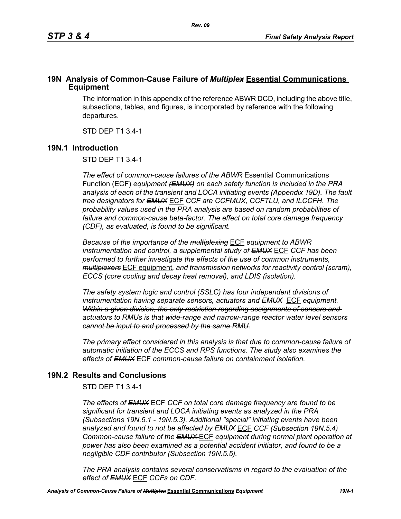### **19N Analysis of Common-Cause Failure of** *Multiplex* **Essential Communications Equipment**

The information in this appendix of the reference ABWR DCD, including the above title, subsections, tables, and figures, is incorporated by reference with the following departures.

STD DEP T1 3.4-1

### **19N.1 Introduction**

STD DEP T1 3.4-1

*The effect of common-cause failures of the ABWR* Essential Communications Function (ECF) *equipment (EMUX) on each safety function is included in the PRA analysis of each of the transient and LOCA initiating events (Appendix 19D). The fault tree designators for EMUX* ECF *CCF are CCFMUX, CCFTLU, and ILCCFH. The probability values used in the PRA analysis are based on random probabilities of failure and common-cause beta-factor. The effect on total core damage frequency (CDF), as evaluated, is found to be significant.* 

*Because of the importance of the multiplexing* ECF *equipment to ABWR instrumentation and control, a supplemental study of EMUX* ECF *CCF has been performed to further investigate the effects of the use of common instruments, multiplexers* ECF equipment*, and transmission networks for reactivity control (scram), ECCS (core cooling and decay heat removal), and LDIS (isolation).* 

*The safety system logic and control (SSLC) has four independent divisions of instrumentation having separate sensors, actuators and EMUX* ECF *equipment. Within a given division, the only restriction regarding assignments of sensors and actuators to RMUs is that wide-range and narrow-range reactor water level sensors cannot be input to and processed by the same RMU.*

*The primary effect considered in this analysis is that due to common-cause failure of automatic initiation of the ECCS and RPS functions. The study also examines the effects of EMUX* ECF *common-cause failure on containment isolation.* 

# **19N.2 Results and Conclusions**

STD DEP T1 3.4-1

*The effects of EMUX* ECF *CCF on total core damage frequency are found to be significant for transient and LOCA initiating events as analyzed in the PRA (Subsections 19N.5.1 - 19N.5.3). Additional "special" initiating events have been analyzed and found to not be affected by EMUX* ECF *CCF (Subsection 19N.5.4) Common-cause failure of the EMUX* ECF *equipment during normal plant operation at power has also been examined as a potential accident initiator, and found to be a negligible CDF contributor (Subsection 19N.5.5).* 

*The PRA analysis contains several conservatisms in regard to the evaluation of the effect of EMUX* ECF *CCFs on CDF.*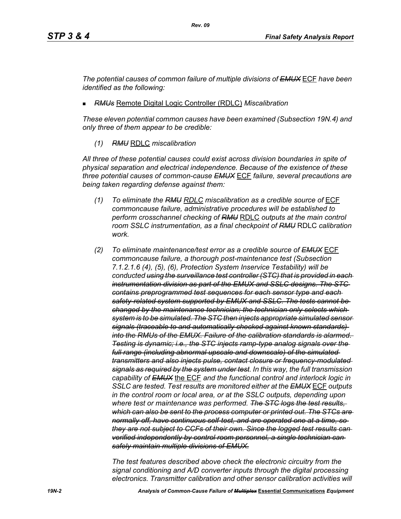*The potential causes of common failure of multiple divisions of EMUX* ECF *have been identified as the following:*

*RMUs* Remote Digital Logic Controller (RDLC) *Miscalibration*

*These eleven potential common causes have been examined (Subsection 19N.4) and only three of them appear to be credible:*

*(1) RMU* RDLC *miscalibration*

*All three of these potential causes could exist across division boundaries in spite of physical separation and electrical independence. Because of the existence of these three potential causes of common-cause EMUX* ECF *failure, several precautions are being taken regarding defense against them:*

- *(1) To eliminate the RMU RDLC miscalibration as a credible source of* ECF *commoncause failure, administrative procedures will be established to perform crosschannel checking of RMU* RDLC *outputs at the main control room SSLC instrumentation, as a final checkpoint of RMU* RDLC *calibration work.*
- *(2) To eliminate maintenance/test error as a credible source of EMUX* ECF *commoncause failure, a thorough post-maintenance test (Subsection 7.1.2.1.6 (4), (5), (6), Protection System Inservice Testability) will be conducted using the surveillance test controller (STC) that is provided in each instrumentation division as part of the EMUX and SSLC designs. The STC contains preprogrammed test sequences for each sensor type and each safety-related system supported by EMUX and SSLC. The tests cannot be changed by the maintenance technician; the technician only selects which system is to be simulated. The STC then injects appropriate simulated sensor signals (traceable to and automatically checked against known standards) into the RMUs of the EMUX. Failure of the calibration standards is alarmed. Testing is dynamic; i.e., the STC injects ramp-type analog signals over the full range (including abnormal upscale and downscale) of the simulated transmitters and also injects pulse, contact closure or frequency-modulated signals as required by the system under test. In this way, the full transmission capability of EMUX* the ECF *and the functional control and interlock logic in SSLC are tested. Test results are monitored either at the EMUX* ECF *outputs in the control room or local area, or at the SSLC outputs, depending upon where test or maintenance was performed. The STC logs the test results, which can also be sent to the process computer or printed out. The STCs are normally off, have continuous self-test, and are operated one at a time, so they are not subject to CCFs of their own. Since the logged test results can verified independently by control room personnel, a single technician can safely maintain multiple divisions of EMUX.*

*The test features described above check the electronic circuitry from the signal conditioning and A/D converter inputs through the digital processing electronics. Transmitter calibration and other sensor calibration activities will*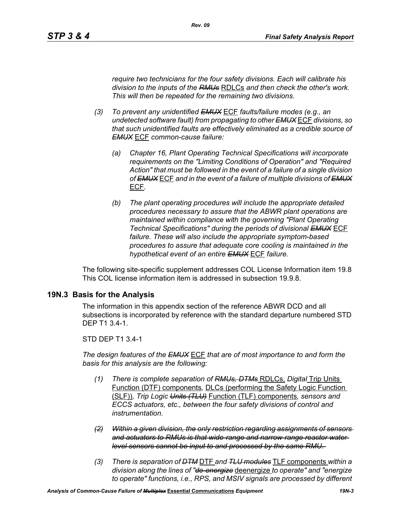*require two technicians for the four safety divisions. Each will calibrate his division to the inputs of the RMUs* RDLCs *and then check the other's work. This will then be repeated for the remaining two divisions.*

*Rev. 09*

- *(3) To prevent any unidentified EMUX* ECF *faults/failure modes (e.g., an undetected software fault) from propagating to other EMUX* ECF *divisions, so that such unidentified faults are effectively eliminated as a credible source of EMUX* ECF *common-cause failure:* 
	- *(a) Chapter 16, Plant Operating Technical Specifications will incorporate requirements on the "Limiting Conditions of Operation" and "Required Action" that must be followed in the event of a failure of a single division of EMUX* ECF *and in the event of a failure of multiple divisions of EMUX* ECF*.*
	- *(b) The plant operating procedures will include the appropriate detailed procedures necessary to assure that the ABWR plant operations are maintained within compliance with the governing "Plant Operating Technical Specifications" during the periods of divisional EMUX* ECF *failure. These will also include the appropriate symptom-based procedures to assure that adequate core cooling is maintained in the hypothetical event of an entire EMUX* ECF *failure.*

The following site-specific supplement addresses COL License Information item 19.8 This COL license information item is addressed in subsection 19.9.8.

### **19N.3 Basis for the Analysis**

The information in this appendix section of the reference ABWR DCD and all subsections is incorporated by reference with the standard departure numbered STD DEP T1 3.4-1.

### STD DEP T1 3.4-1

*The design features of the EMUX* ECF *that are of most importance to and form the basis for this analysis are the following:*

- *(1) There is complete separation of RMUs, DTMs* RDLCs, *Digital* Trip Units Function (DTF) components*,* DLCs (performing the Safety Logic Function (SLF))*, Trip Logic Units (TLU)* Function (TLF) components*, sensors and ECCS actuators, etc., between the four safety divisions of control and instrumentation.*
- *(2) Within a given division, the only restriction regarding assignments of sensors and actuators to RMUs is that wide-range and narrow-range reactor water level sensors cannot be input to and processed by the same RMU.*
- *(3) There is separation of DTM* DTF *and TLU modules* TLF components *within a division along the lines of "de-energize* deenergize *to operate" and "energize to operate" functions, i.e., RPS, and MSIV signals are processed by different*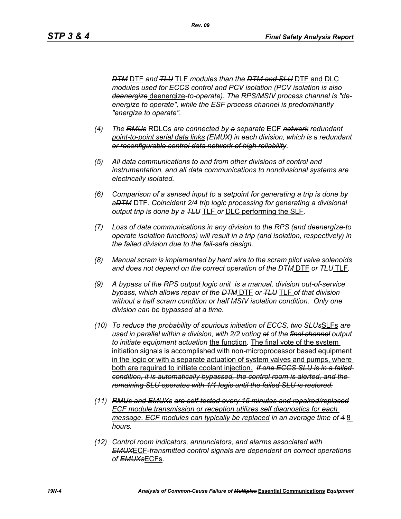*DTM* DTF *and TLU* TLF *modules than the DTM and SLU* DTF and DLC *modules used for ECCS control and PCV isolation (PCV isolation is also deenergize* deenergize*-to-operate). The RPS/MSIV process channel is "deenergize to operate", while the ESF process channel is predominantly "energize to operate".* 

- *(4) The RMUs* RDLCs *are connected by a separate* ECF *network redundant point-to-point serial data links (EMUX) in each division, which is a redundant or reconfigurable control data network of high reliability.*
- *(5) All data communications to and from other divisions of control and instrumentation, and all data communications to nondivisional systems are electrically isolated.*
- *(6) Comparison of a sensed input to a setpoint for generating a trip is done by aDTM* DTF*. Coincident 2/4 trip logic processing for generating a divisional output trip is done by a TLU* TLF *or* DLC performing the SLF*.*
- *(7) Loss of data communications in any division to the RPS (and deenergize-to operate isolation functions) will result in a trip (and isolation, respectively) in the failed division due to the fail-safe design.*
- *(8) Manual scram is implemented by hard wire to the scram pilot valve solenoids and does not depend on the correct operation of the DTM* DTF *or TLU* TLF*.*
- *(9) A bypass of the RPS output logic unit is a manual, division out-of-service bypass, which allows repair of the DTM* DTF *or TLU* TLF *of that division without a half scram condition or half MSIV isolation condition. Only one division can be bypassed at a time.*
- *(10) To reduce the probability of spurious initiation of ECCS, two SLUs*SLFs *are used in parallel within a division, with 2/2 voting at of the final channel output to initiate equipment actuation* the function*.* The final vote of the system initiation signals is accomplished with non-microprocessor based equipment in the logic or with a separate actuation of system valves and pumps, where both are required to initiate coolant injection. *If one ECCS SLU is in a failed condition, it is automatically bypassed, the control room is alerted, and the remaining SLU operates with 1/1 logic until the failed SLU is restored.*
- *(11) RMUs and EMUXs are self-tested every 15 minutes and repaired/replaced ECF module transmission or reception utilizes self diagnostics for each message. ECF modules can typically be replaced in an average time of 48 hours.*
- *(12) Control room indicators, annunciators, and alarms associated with EMUX*ECF*-transmitted control signals are dependent on correct operations of EMUXs*ECFs*.*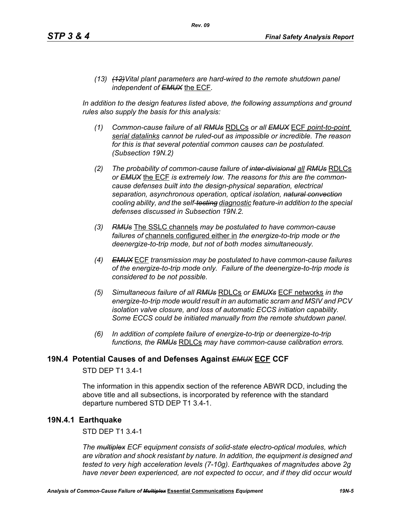*(13) (12)Vital plant parameters are hard-wired to the remote shutdown panel independent of EMUX* the ECF*.* 

In addition to the design features listed above, the following assumptions and ground *rules also supply the basis for this analysis:*

- *(1) Common-cause failure of all RMUs* RDLCs *or all EMUX* ECF *point-to-point serial datalinks cannot be ruled-out as impossible or incredible. The reason for this is that several potential common causes can be postulated. (Subsection 19N.2)*
- *(2) The probability of common-cause failure of inter-divisional all RMUs* RDLCs *or EMUX* the ECF *is extremely low. The reasons for this are the commoncause defenses built into the design-physical separation, electrical separation, asynchronous operation, optical isolation, natural convection cooling ability, and the self-testing diagnostic feature-in addition to the special defenses discussed in Subsection 19N.2.*
- *(3) RMUs* The SSLC channels *may be postulated to have common-cause failures of* channels configured either in *the energize-to-trip mode or the deenergize-to-trip mode, but not of both modes simultaneously.*
- *(4) EMUX* ECF *transmission may be postulated to have common-cause failures of the energize-to-trip mode only. Failure of the deenergize-to-trip mode is considered to be not possible.*
- *(5) Simultaneous failure of all RMUs* RDLCs *or EMUXs* ECF networks *in the energize-to-trip mode would result in an automatic scram and MSIV and PCV isolation valve closure, and loss of automatic ECCS initiation capability. Some ECCS could be initiated manually from the remote shutdown panel.*
- *(6) In addition of complete failure of energize-to-trip or deenergize-to-trip functions, the RMUs* RDLCs *may have common-cause calibration errors.*

### **19N.4 Potential Causes of and Defenses Against** *EMUX* **ECF CCF**

### STD DEP T1 3.4-1

The information in this appendix section of the reference ABWR DCD, including the above title and all subsections, is incorporated by reference with the standard departure numbered STD DEP T1 3.4-1.

### **19N.4.1 Earthquake**

STD DEP T1 3.4-1

*The multiplex ECF equipment consists of solid-state electro-optical modules, which are vibration and shock resistant by nature. In addition, the equipment is designed and tested to very high acceleration levels (7-10g). Earthquakes of magnitudes above 2g have never been experienced, are not expected to occur, and if they did occur would*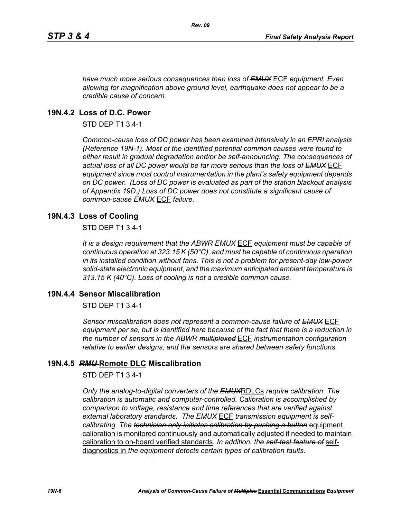*have much more serious consequences than loss of EMUX* ECF *equipment. Even allowing for magnification above ground level, earthquake does not appear to be a credible cause of concern.*

### **19N.4.2 Loss of D.C. Power**

STD DEP T1 3.4-1

*Common-cause loss of DC power has been examined intensively in an EPRI analysis (Reference 19N-1). Most of the identified potential common causes were found to either result in gradual degradation and/or be self-announcing. The consequences of actual loss of all DC power would be far more serious than the loss of EMUX* ECF *equipment since most control instrumentation in the plant's safety equipment depends on DC power. (Loss of DC power is evaluated as part of the station blackout analysis of Appendix 19D.) Loss of DC power does not constitute a significant cause of common-cause EMUX* ECF *failure.* 

### **19N.4.3 Loss of Cooling**

STD DEP T1 3.4-1

*It is a design requirement that the ABWR EMUX* ECF *equipment must be capable of continuous operation at 323.15 K (50°C), and must be capable of continuous operation in its installed condition without fans. This is not a problem for present-day low-power solid-state electronic equipment, and the maximum anticipated ambient temperature is 313.15 K (40°C). Loss of cooling is not a credible common cause.* 

### **19N.4.4 Sensor Miscalibration**

STD DEP T1 3.4-1

*Sensor miscalibration does not represent a common-cause failure of EMUX* ECF *equipment per se, but is identified here because of the fact that there is a reduction in the number of sensors in the ABWR multiplexed* ECF *instrumentation configuration relative to earlier designs, and the sensors are shared between safety functions.* 

### **19N.4.5** *RMU* **Remote DLC Miscalibration**

STD DEP T1 3.4-1

*Only the analog-to-digital converters of the EMUX*RDLCs *require calibration. The calibration is automatic and computer-controlled. Calibration is accomplished by comparison to voltage, resistance and time references that are verified against external laboratory standards. The EMUX* ECF *transmission equipment is selfcalibrating. The technician only initiates calibration by pushing a button equipment* calibration is monitored continuously and automatically adjusted if needed to maintain calibration to on-board verified standards*. In addition, the self-test feature of* selfdiagnostics in *the equipment detects certain types of calibration faults.*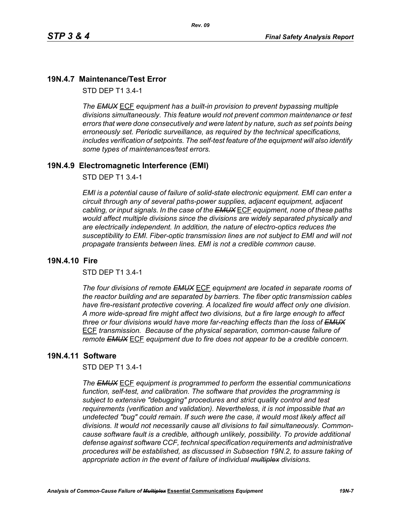*Rev. 09*

### **19N.4.7 Maintenance/Test Error**

STD DEP T1 3.4-1

*The EMUX* ECF *equipment has a built-in provision to prevent bypassing multiple divisions simultaneously. This feature would not prevent common maintenance or test errors that were done consecutively and were latent by nature, such as set points being erroneously set. Periodic surveillance, as required by the technical specifications, includes verification of setpoints. The self-test feature of the equipment will also identify some types of maintenances/test errors.* 

#### **19N.4.9 Electromagnetic Interference (EMI)**

STD DEP T1 3.4-1

*EMI is a potential cause of failure of solid-state electronic equipment. EMI can enter a circuit through any of several paths-power supplies, adjacent equipment, adjacent cabling, or input signals. In the case of the EMUX* ECF *equipment, none of these paths would affect multiple divisions since the divisions are widely separated physically and are electrically independent. In addition, the nature of electro-optics reduces the susceptibility to EMI. Fiber-optic transmission lines are not subject to EMI and will not propagate transients between lines. EMI is not a credible common cause.* 

#### **19N.4.10 Fire**

STD DEP T1 3.4-1

*The four divisions of remote EMUX* ECF *equipment are located in separate rooms of the reactor building and are separated by barriers. The fiber optic transmission cables have fire-resistant protective covering. A localized fire would affect only one division. A more wide-spread fire might affect two divisions, but a fire large enough to affect three or four divisions would have more far-reaching effects than the loss of EMUX* ECF *transmission. Because of the physical separation, common-cause failure of remote EMUX* ECF *equipment due to fire does not appear to be a credible concern.* 

#### **19N.4.11 Software**

STD DEP T1 3.4-1

*The EMUX* ECF *equipment is programmed to perform the essential communications function, self-test, and calibration. The software that provides the programming is subject to extensive "debugging" procedures and strict quality control and test requirements (verification and validation). Nevertheless, it is not impossible that an undetected "bug" could remain. If such were the case, it would most likely affect all divisions. It would not necessarily cause all divisions to fail simultaneously. Commoncause software fault is a credible, although unlikely, possibility. To provide additional defense against software CCF, technical specification requirements and administrative procedures will be established, as discussed in Subsection 19N.2, to assure taking of appropriate action in the event of failure of individual multiplex divisions.*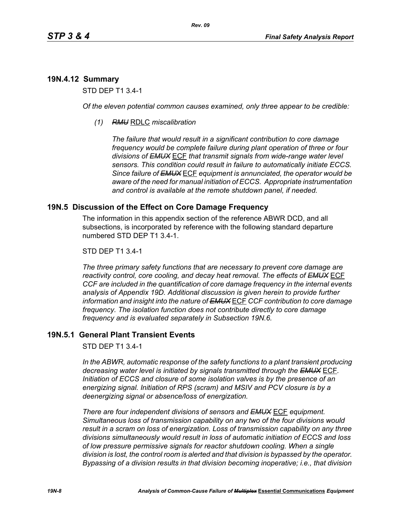# **19N.4.12 Summary**

STD DEP T1 3.4-1

*Of the eleven potential common causes examined, only three appear to be credible:* 

*(1) RMU* RDLC *miscalibration*

*The failure that would result in a significant contribution to core damage frequency would be complete failure during plant operation of three or four divisions of EMUX* ECF *that transmit signals from wide-range water level sensors. This condition could result in failure to automatically initiate ECCS. Since failure of EMUX* ECF *equipment is annunciated, the operator would be aware of the need for manual initiation of ECCS. Appropriate instrumentation and control is available at the remote shutdown panel, if needed.* 

# **19N.5 Discussion of the Effect on Core Damage Frequency**

The information in this appendix section of the reference ABWR DCD, and all subsections, is incorporated by reference with the following standard departure numbered STD DEP T1 3.4-1.

### STD DEP T1 3.4-1

*The three primary safety functions that are necessary to prevent core damage are reactivity control, core cooling, and decay heat removal. The effects of EMUX* ECF *CCF are included in the quantification of core damage frequency in the internal events analysis of Appendix 19D. Additional discussion is given herein to provide further information and insight into the nature of EMUX* ECF *CCF contribution to core damage frequency. The isolation function does not contribute directly to core damage frequency and is evaluated separately in Subsection 19N.6.* 

# **19N.5.1 General Plant Transient Events**

STD DEP T1 3.4-1

*In the ABWR, automatic response of the safety functions to a plant transient producing decreasing water level is initiated by signals transmitted through the EMUX* ECF*. Initiation of ECCS and closure of some isolation valves is by the presence of an energizing signal. Initiation of RPS (scram) and MSIV and PCV closure is by a deenergizing signal or absence/loss of energization.* 

*There are four independent divisions of sensors and EMUX* ECF *equipment. Simultaneous loss of transmission capability on any two of the four divisions would result in a scram on loss of energization. Loss of transmission capability on any three divisions simultaneously would result in loss of automatic initiation of ECCS and loss of low pressure permissive signals for reactor shutdown cooling. When a single division is lost, the control room is alerted and that division is bypassed by the operator. Bypassing of a division results in that division becoming inoperative; i.e., that division*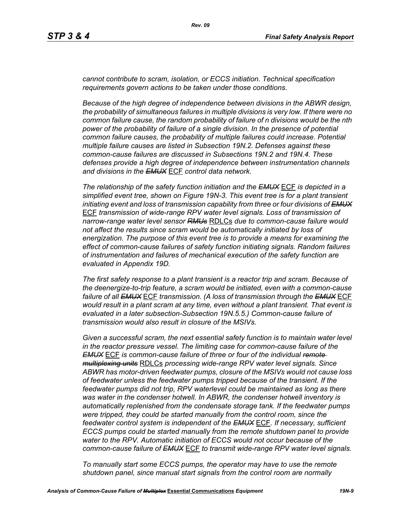*cannot contribute to scram, isolation, or ECCS initiation. Technical specification requirements govern actions to be taken under those conditions.* 

*Because of the high degree of independence between divisions in the ABWR design, the probability of simultaneous failures in multiple divisions is very low. If there were no common failure cause, the random probability of failure of n divisions would be the nth power of the probability of failure of a single division. In the presence of potential common failure causes, the probability of multiple failures could increase. Potential multiple failure causes are listed in Subsection 19N.2. Defenses against these common-cause failures are discussed in Subsections 19N.2 and 19N.4. These defenses provide a high degree of independence between instrumentation channels and divisions in the EMUX* ECF *control data network.* 

*The relationship of the safety function initiation and the EMUX* ECF *is depicted in a simplified event tree, shown on Figure 19N-3. This event tree is for a plant transient initiating event and loss of transmission capability from three or four divisions of EMUX* ECF *transmission of wide-range RPV water level signals. Loss of transmission of narrow-range water level sensor RMUs* RDLCs *due to common-cause failure would not affect the results since scram would be automatically initiated by loss of energization. The purpose of this event tree is to provide a means for examining the effect of common-cause failures of safety function initiating signals. Random failures of instrumentation and failures of mechanical execution of the safety function are evaluated in Appendix 19D.*

*The first safety response to a plant transient is a reactor trip and scram. Because of the deenergize-to-trip feature, a scram would be initiated, even with a common-cause failure of all EMUX* ECF *transmission. (A loss of transmission through the EMUX* ECF *would result in a plant scram at any time, even without a plant transient. That event is evaluated in a later subsection-Subsection 19N.5.5.) Common-cause failure of transmission would also result in closure of the MSIVs.* 

*Given a successful scram, the next essential safety function is to maintain water level in the reactor pressure vessel. The limiting case for common-cause failure of the EMUX* ECF *is common-cause failure of three or four of the individual remote multiplexing units* RDLCs *processing wide-range RPV water level signals. Since ABWR has motor-driven feedwater pumps, closure of the MSIVs would not cause loss of feedwater unless the feedwater pumps tripped because of the transient. If the feedwater pumps did not trip, RPV waterlevel could be maintained as long as there was water in the condenser hotwell. In ABWR, the condenser hotwell inventory is automatically replenished from the condensate storage tank. If the feedwater pumps were tripped, they could be started manually from the control room, since the feedwater control system is independent of the EMUX* ECF*. If necessary, sufficient ECCS pumps could be started manually from the remote shutdown panel to provide water to the RPV. Automatic initiation of ECCS would not occur because of the common-cause failure of EMUX* ECF *to transmit wide-range RPV water level signals.* 

*To manually start some ECCS pumps, the operator may have to use the remote shutdown panel, since manual start signals from the control room are normally*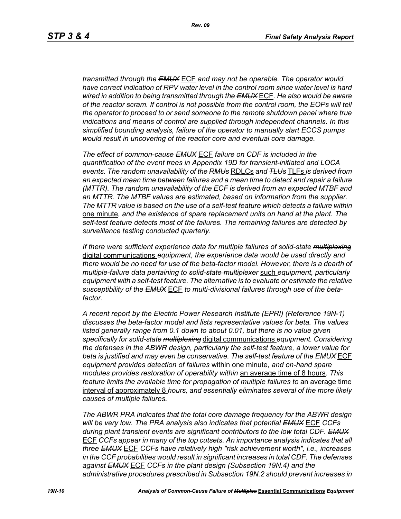*transmitted through the EMUX* ECF *and may not be operable. The operator would have correct indication of RPV water level in the control room since water level is hard wired in addition to being transmitted through the EMUX* ECF*. He also would be aware of the reactor scram. If control is not possible from the control room, the EOPs will tell the operator to proceed to or send someone to the remote shutdown panel where true indications and means of control are supplied through independent channels. In this simplified bounding analysis, failure of the operator to manually start ECCS pumps would result in uncovering of the reactor core and eventual core damage.*

*The effect of common-cause EMUX* ECF *failure on CDF is included in the quantification of the event trees in Appendix 19D for transient-initiated and LOCA events. The random unavailability of the RMUs* RDLCs *and TLUs* TLFs *is derived from an expected mean time between failures and a mean time to detect and repair a failure (MTTR). The random unavailability of the ECF is derived from an expected MTBF and an MTTR. The MTBF values are estimated, based on information from the supplier. The MTTR value is based on the use of a self-test feature which detects a failure within*  one minute*, and the existence of spare replacement units on hand at the plant. The self-test feature detects most of the failures. The remaining failures are detected by surveillance testing conducted quarterly.* 

*If there were sufficient experience data for multiple failures of solid-state multiplexing* digital communications *equipment, the experience data would be used directly and there would be no need for use of the beta-factor model. However, there is a dearth of multiple-failure data pertaining to solid-state multiplexer* such *equipment, particularly equipment with a self-test feature. The alternative is to evaluate or estimate the relative susceptibility of the EMUX* ECF *to multi-divisional failures through use of the betafactor.* 

*A recent report by the Electric Power Research Institute (EPRI) (Reference 19N-1) discusses the beta-factor model and lists representative values for beta. The values*  listed generally range from 0.1 down to about 0.01, but there is no value given *specifically for solid-state multiplexing* digital communications *equipment. Considering the defenses in the ABWR design, particularly the self-test feature, a lower value for beta is justified and may even be conservative. The self-test feature of the EMUX* ECF *equipment provides detection of failures* within one minute*, and on-hand spare modules provides restoration of operability within* an average time of 8 hours*. This feature limits the available time for propagation of multiple failures to an average time* interval of approximately 8 *hours, and essentially eliminates several of the more likely causes of multiple failures.* 

*The ABWR PRA indicates that the total core damage frequency for the ABWR design will be very low. The PRA analysis also indicates that potential EMUX* ECF *CCFs during plant transient events are significant contributors to the low total CDF. EMUX* ECF *CCFs appear in many of the top cutsets. An importance analysis indicates that all three EMUX* ECF *CCFs have relatively high "risk achievement worth", i.e., increases in the CCF probabilities would result in significant increases in total CDF. The defenses against EMUX* ECF *CCFs in the plant design (Subsection 19N.4) and the administrative procedures prescribed in Subsection 19N.2 should prevent increases in*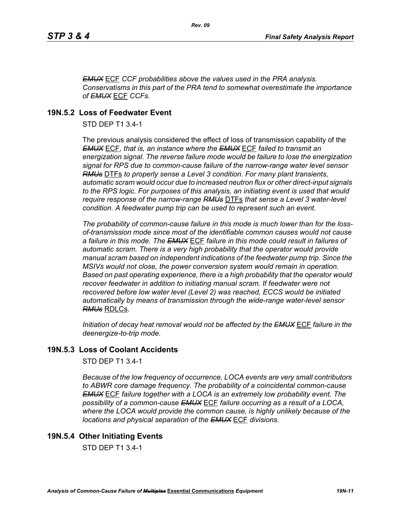*EMUX* ECF *CCF probabilities above the values used in the PRA analysis. Conservatisms in this part of the PRA tend to somewhat overestimate the importance of EMUX* ECF *CCFs.* 

# **19N.5.2 Loss of Feedwater Event**

STD DEP T1 3.4-1

The previous analysis considered the effect of loss of transmission capability of the *EMUX* ECF*, that is, an instance where the EMUX* ECF *failed to transmit an energization signal. The reverse failure mode would be failure to lose the energization signal for RPS due to common-cause failure of the narrow-range water level sensor RMUs* DTFs *to properly sense a Level 3 condition. For many plant transients, automatic scram would occur due to increased neutron flux or other direct-input signals to the RPS logic. For purposes of this analysis, an initiating event is used that would require response of the narrow-range RMUs* DTFs *that sense a Level 3 water-level condition. A feedwater pump trip can be used to represent such an event.*

*The probability of common-cause failure in this mode is much lower than for the lossof-transmission mode since most of the identifiable common causes would not cause a failure in this mode. The EMUX* ECF *failure in this mode could result in failures of automatic scram. There is a very high probability that the operator would provide manual scram based on independent indications of the feedwater pump trip. Since the MSIVs would not close, the power conversion system would remain in operation. Based on past operating experience, there is a high probability that the operator would recover feedwater in addition to initiating manual scram. If feedwater were not recovered before low water level (Level 2) was reached, ECCS would be initiated automatically by means of transmission through the wide-range water-level sensor RMUs* RDLCs.

*Initiation of decay heat removal would not be affected by the EMUX* ECF *failure in the deenergize-to-trip mode.*

# **19N.5.3 Loss of Coolant Accidents**

STD DEP T1 3.4-1

*Because of the low frequency of occurrence, LOCA events are very small contributors to ABWR core damage frequency. The probability of a coincidental common-cause EMUX* ECF *failure together with a LOCA is an extremely low probability event. The possibility of a common-cause EMUX* ECF *failure occurring as a result of a LOCA, where the LOCA would provide the common cause, is highly unlikely because of the locations and physical separation of the EMUX* ECF *divisions.* 

# **19N.5.4 Other Initiating Events**

STD DEP T1 3.4-1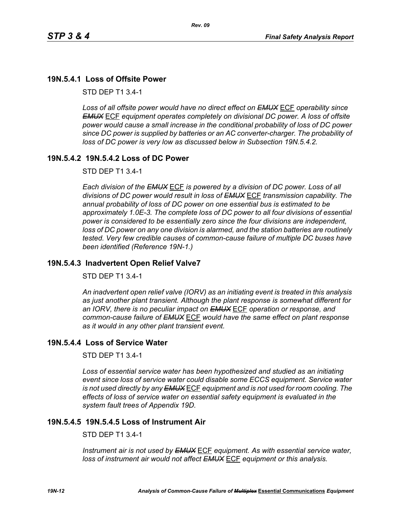# **19N.5.4.1 Loss of Offsite Power**

STD DEP T1 3.4-1

*Loss of all offsite power would have no direct effect on EMUX* ECF *operability since EMUX* ECF *equipment operates completely on divisional DC power. A loss of offsite power would cause a small increase in the conditional probability of loss of DC power since DC power is supplied by batteries or an AC converter-charger. The probability of loss of DC power is very low as discussed below in Subsection 19N.5.4.2.* 

### **19N.5.4.2 19N.5.4.2 Loss of DC Power**

STD DEP T1 3.4-1

*Each division of the EMUX* ECF *is powered by a division of DC power. Loss of all divisions of DC power would result in loss of EMUX* ECF *transmission capability. The annual probability of loss of DC power on one essential bus is estimated to be approximately 1.0E-3. The complete loss of DC power to all four divisions of essential power is considered to be essentially zero since the four divisions are independent, loss of DC power on any one division is alarmed, and the station batteries are routinely tested. Very few credible causes of common-cause failure of multiple DC buses have been identified (Reference 19N-1.)*

### **19N.5.4.3 Inadvertent Open Relief Valve7**

STD DEP T1 3.4-1

*An inadvertent open relief valve (IORV) as an initiating event is treated in this analysis as just another plant transient. Although the plant response is somewhat different for an IORV, there is no peculiar impact on EMUX* ECF *operation or response, and common-cause failure of EMUX* ECF *would have the same effect on plant response as it would in any other plant transient event.*

### **19N.5.4.4 Loss of Service Water**

STD DEP T1 3.4-1

*Loss of essential service water has been hypothesized and studied as an initiating event since loss of service water could disable some ECCS equipment. Service water is not used directly by any EMUX* ECF *equipment and is not used for room cooling. The effects of loss of service water on essential safety equipment is evaluated in the system fault trees of Appendix 19D.* 

# **19N.5.4.5 19N.5.4.5 Loss of Instrument Air**

STD DEP T1 3.4-1

*Instrument air is not used by EMUX* ECF *equipment. As with essential service water, loss of instrument air would not affect EMUX* ECF *equipment or this analysis.*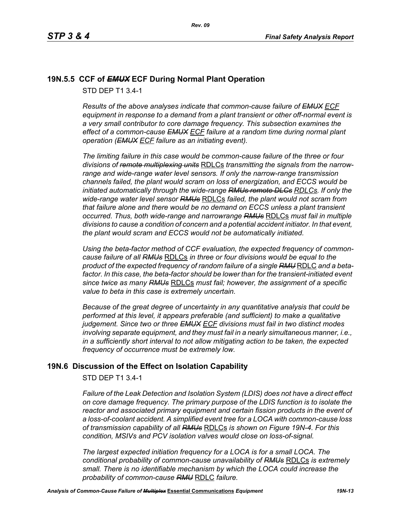# **19N.5.5 CCF of** *EMUX* **ECF During Normal Plant Operation**

STD DEP T1 3.4-1

*Results of the above analyses indicate that common-cause failure of EMUX ECF equipment in response to a demand from a plant transient or other off-normal event is a very small contributor to core damage frequency. This subsection examines the effect of a common-cause EMUX ECF failure at a random time during normal plant operation (EMUX ECF failure as an initiating event).* 

*The limiting failure in this case would be common-cause failure of the three or four divisions of remote multiplexing units* RDLCs *transmitting the signals from the narrowrange and wide-range water level sensors. If only the narrow-range transmission channels failed, the plant would scram on loss of energization, and ECCS would be initiated automatically through the wide-range RMUs remote DLCs RDLCs. If only the wide-range water level sensor RMUs* RDLCs *failed, the plant would not scram from that failure alone and there would be no demand on ECCS unless a plant transient occurred. Thus, both wide-range and narrowrange RMUs* RDLCs *must fail in multiple divisions to cause a condition of concern and a potential accident initiator. In that event, the plant would scram and ECCS would not be automatically initiated.* 

*Using the beta-factor method of CCF evaluation, the expected frequency of commoncause failure of all RMUs* RDLCs *in three or four divisions would be equal to the product of the expected frequency of random failure of a single RMU* RDLC *and a beta*factor. In this case, the beta-factor should be lower than for the transient-initiated event *since twice as many RMUs* RDLCs *must fail; however, the assignment of a specific value to beta in this case is extremely uncertain.* 

*Because of the great degree of uncertainty in any quantitative analysis that could be performed at this level, it appears preferable (and sufficient) to make a qualitative judgement. Since two or three EMUX ECF divisions must fail in two distinct modes involving separate equipment, and they must fail in a nearly simultaneous manner, i.e., in a sufficiently short interval to not allow mitigating action to be taken, the expected frequency of occurrence must be extremely low.*

# **19N.6 Discussion of the Effect on Isolation Capability**

STD DEP T1 3.4-1

*Failure of the Leak Detection and Isolation System (LDIS) does not have a direct effect on core damage frequency. The primary purpose of the LDIS function is to isolate the reactor and associated primary equipment and certain fission products in the event of a loss-of-coolant accident. A simplified event tree for a LOCA with common-cause loss of transmission capability of all RMUs* RDLCs *is shown on Figure 19N-4. For this condition, MSIVs and PCV isolation valves would close on loss-of-signal.* 

*The largest expected initiation frequency for a LOCA is for a small LOCA. The conditional probability of common-cause unavailability of RMUs* RDLCs *is extremely small. There is no identifiable mechanism by which the LOCA could increase the probability of common-cause RMU* RDLC *failure.*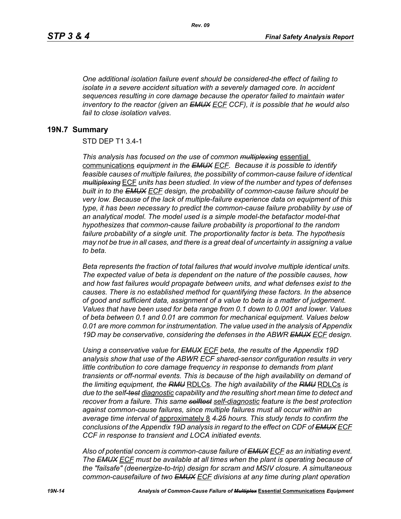*One additional isolation failure event should be considered-the effect of failing to isolate in a severe accident situation with a severely damaged core. In accident sequences resulting in core damage because the operator failed to maintain water inventory to the reactor (given an EMUX ECF CCF), it is possible that he would also fail to close isolation valves.*

#### **19N.7 Summary**

#### STD DEP T1 3.4-1

*This analysis has focused on the use of common multiplexing* essential communications *equipment in the EMUX ECF. Because it is possible to identify feasible causes of multiple failures, the possibility of common-cause failure of identical multiplexing* ECF *units has been studied. In view of the number and types of defenses built in to the EMUX ECF design, the probability of common-cause failure should be very low. Because of the lack of multiple-failure experience data on equipment of this type, it has been necessary to predict the common-cause failure probability by use of an analytical model. The model used is a simple model-the betafactor model-that hypothesizes that common-cause failure probability is proportional to the random failure probability of a single unit. The proportionality factor is beta. The hypothesis may not be true in all cases, and there is a great deal of uncertainty in assigning a value to beta.* 

*Beta represents the fraction of total failures that would involve multiple identical units. The expected value of beta is dependent on the nature of the possible causes, how and how fast failures would propagate between units, and what defenses exist to the causes. There is no established method for quantifying these factors. In the absence of good and sufficient data, assignment of a value to beta is a matter of judgement. Values that have been used for beta range from 0.1 down to 0.001 and lower. Values of beta between 0.1 and 0.01 are common for mechanical equipment. Values below 0.01 are more common for instrumentation. The value used in the analysis of Appendix 19D may be conservative, considering the defenses in the ABWR EMUX ECF design.* 

*Using a conservative value for EMUX ECF beta, the results of the Appendix 19D analysis show that use of the ABWR ECF shared-sensor configuration results in very little contribution to core damage frequency in response to demands from plant transients or off-normal events. This is because of the high availability on demand of the limiting equipment, the RMU* RDLCs*. The high availability of the RMU* RDLCs *is due to the self-test diagnostic capability and the resulting short mean time to detect and recover from a failure. This same selftest self-diagnostic feature is the best protection against common-cause failures, since multiple failures must all occur within an average time interval of* approximately 8 *4.25 hours. This study tends to confirm the conclusions of the Appendix 19D analysis in regard to the effect on CDF of EMUX ECF CCF in response to transient and LOCA initiated events.*

*Also of potential concern is common-cause failure of EMUX ECF as an initiating event. The EMUX ECF must be available at all times when the plant is operating because of the "failsafe" (deenergize-to-trip) design for scram and MSIV closure. A simultaneous common-causefailure of two EMUX ECF divisions at any time during plant operation*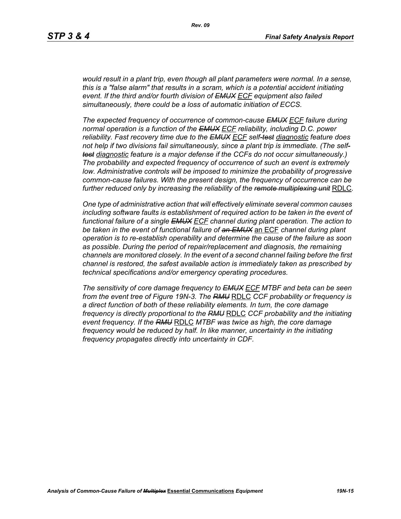*would result in a plant trip, even though all plant parameters were normal. In a sense, this is a "false alarm" that results in a scram, which is a potential accident initiating event. If the third and/or fourth division of EMUX ECF equipment also failed simultaneously, there could be a loss of automatic initiation of ECCS.* 

*The expected frequency of occurrence of common-cause EMUX ECF failure during normal operation is a function of the EMUX ECF reliability, including D.C. power reliability. Fast recovery time due to the EMUX ECF self-test diagnostic feature does not help if two divisions fail simultaneously, since a plant trip is immediate. (The selftest diagnostic feature is a major defense if the CCFs do not occur simultaneously.) The probability and expected frequency of occurrence of such an event is extremely low. Administrative controls will be imposed to minimize the probability of progressive common-cause failures. With the present design, the frequency of occurrence can be further reduced only by increasing the reliability of the remote multiplexing unit* RDLC*.*

*One type of administrative action that will effectively eliminate several common causes including software faults is establishment of required action to be taken in the event of functional failure of a single EMUX ECF channel during plant operation. The action to be taken in the event of functional failure of an EMUX* an ECF *channel during plant operation is to re-establish operability and determine the cause of the failure as soon as possible. During the period of repair/replacement and diagnosis, the remaining channels are monitored closely. In the event of a second channel failing before the first channel is restored, the safest available action is immediately taken as prescribed by technical specifications and/or emergency operating procedures.* 

*The sensitivity of core damage frequency to EMUX ECF MTBF and beta can be seen from the event tree of Figure 19N-3. The RMU* RDLC *CCF probability or frequency is a direct function of both of these reliability elements. In turn, the core damage frequency is directly proportional to the RMU* RDLC *CCF probability and the initiating event frequency. If the RMU* RDLC *MTBF was twice as high, the core damage frequency would be reduced by half. In like manner, uncertainty in the initiating frequency propagates directly into uncertainty in CDF.*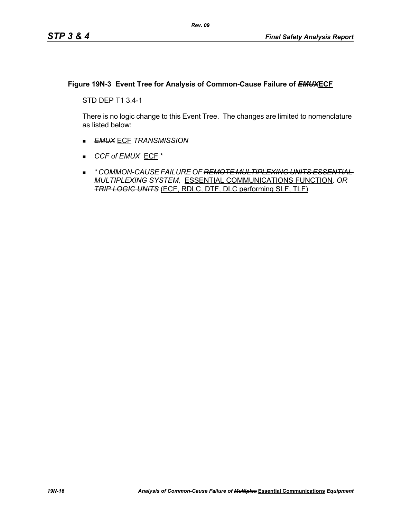### **Figure 19N-3 Event Tree for Analysis of Common-Cause Failure of** *EMUX***ECF**

STD DEP T1 3.4-1

There is no logic change to this Event Tree. The changes are limited to nomenclature as listed below:

- *EMUX* ECF *TRANSMISSION*
- *CCF of EMUX* ECF \*
- *\* COMMON-CAUSE FAILURE OF REMOTE MULTIPLEXING UNITS ESSENTIAL MULTIPLEXING SYSTEM,* ESSENTIAL COMMUNICATIONS FUNCTION*, OR TRIP LOGIC UNITS* (ECF, RDLC, DTF, DLC performing SLF, TLF)